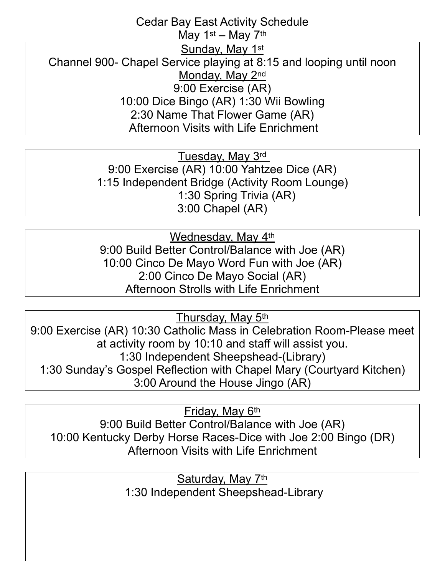## Cedar Bay East Activity Schedule May 1st – May 7th Sunday, May 1st Channel 900- Chapel Service playing at 8:15 and looping until noon Monday, May 2nd 9:00 Exercise (AR) 10:00 Dice Bingo (AR) 1:30 Wii Bowling 2:30 Name That Flower Game (AR) Afternoon Visits with Life Enrichment

Tuesday, May 3rd 9:00 Exercise (AR) 10:00 Yahtzee Dice (AR) 1:15 Independent Bridge (Activity Room Lounge) 1:30 Spring Trivia (AR) 3:00 Chapel (AR)

Wednesday, May 4th 9:00 Build Better Control/Balance with Joe (AR) 10:00 Cinco De Mayo Word Fun with Joe (AR) 2:00 Cinco De Mayo Social (AR) Afternoon Strolls with Life Enrichment

Thursday, May 5th

9:00 Exercise (AR) 10:30 Catholic Mass in Celebration Room-Please meet at activity room by 10:10 and staff will assist you. 1:30 Independent Sheepshead-(Library) 1:30 Sunday's Gospel Reflection with Chapel Mary (Courtyard Kitchen) 3:00 Around the House Jingo (AR)

Friday, May 6th 9:00 Build Better Control/Balance with Joe (AR) 10:00 Kentucky Derby Horse Races-Dice with Joe 2:00 Bingo (DR) Afternoon Visits with Life Enrichment

> Saturday, May 7th 1:30 Independent Sheepshead-Library